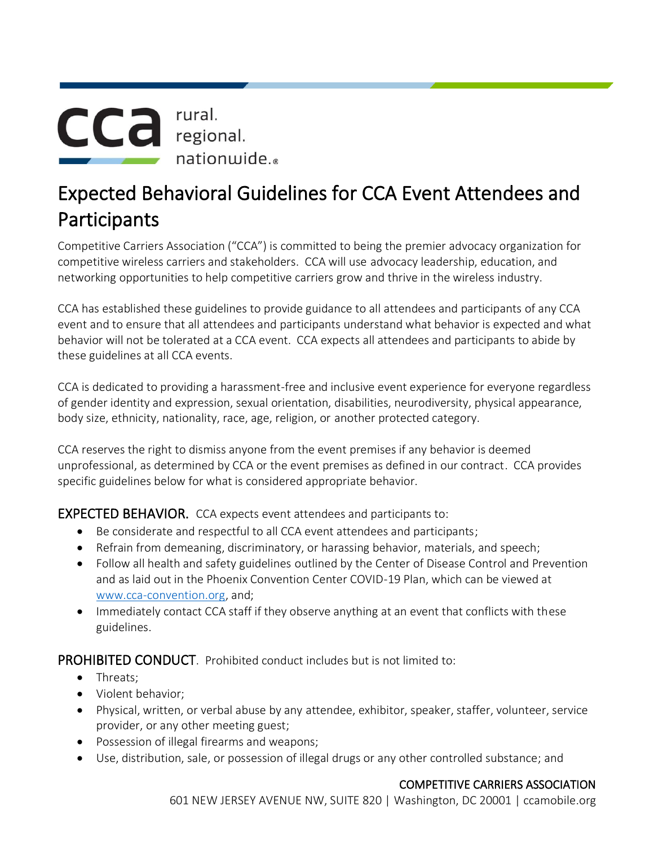

## Expected Behavioral Guidelines for CCA Event Attendees and Participants

Competitive Carriers Association ("CCA") is committed to being the premier advocacy organization for competitive wireless carriers and stakeholders. CCA will use advocacy leadership, education, and networking opportunities to help competitive carriers grow and thrive in the wireless industry.

CCA has established these guidelines to provide guidance to all attendees and participants of any CCA event and to ensure that all attendees and participants understand what behavior is expected and what behavior will not be tolerated at a CCA event. CCA expects all attendees and participants to abide by these guidelines at all CCA events.

CCA is dedicated to providing a harassment-free and inclusive event experience for everyone regardless of gender identity and expression, sexual orientation, disabilities, neurodiversity, physical appearance, body size, ethnicity, nationality, race, age, religion, or another protected category.

CCA reserves the right to dismiss anyone from the event premises if any behavior is deemed unprofessional, as determined by CCA or the event premises as defined in our contract. CCA provides specific guidelines below for what is considered appropriate behavior.

EXPECTED BEHAVIOR. CCA expects event attendees and participants to:

- Be considerate and respectful to all CCA event attendees and participants;
- Refrain from demeaning, discriminatory, or harassing behavior, materials, and speech;
- Follow all health and safety guidelines outlined by the Center of Disease Control and Prevention and as laid out in the Phoenix Convention Center COVID-19 Plan, which can be viewed at [www.cca-convention.org,](http://www.cca-convention.org/) and;
- Immediately contact CCA staff if they observe anything at an event that conflicts with these guidelines.

PROHIBITED CONDUCT. Prohibited conduct includes but is not limited to:

- Threats;
- Violent behavior;
- Physical, written, or verbal abuse by any attendee, exhibitor, speaker, staffer, volunteer, service provider, or any other meeting guest;
- Possession of illegal firearms and weapons;
- Use, distribution, sale, or possession of illegal drugs or any other controlled substance; and

## COMPETITIVE CARRIERS ASSOCIATION